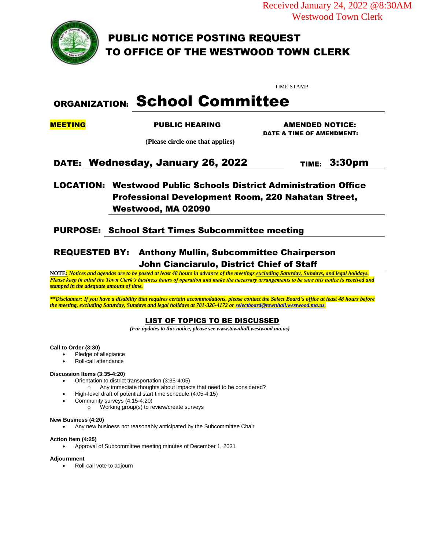Received January 24, 2022 @8:30AM Westwood Town Clerk



PUBLIC NOTICE POSTING REQUEST TO OFFICE OF THE WESTWOOD TOWN CLERK

TIME STAMP

# ORGANIZATION: School Committee

MEETING PUBLIC HEARING AMENDED NOTICE: DATE & TIME OF AMENDMENT:

 **(Please circle one that applies)**

## DATE: Wednesday, January 26, 2022 TIME: 3:30pm

### LOCATION: Westwood Public Schools District Administration Office Professional Development Room, 220 Nahatan Street, Westwood, MA 02090

### PURPOSE: School Start Times Subcommittee meeting

### REQUESTED BY: Anthony Mullin, Subcommittee Chairperson John Cianciarulo, District Chief of Staff

**NOTE:** *Notices and agendas are to be posted at least 48 hours in advance of the meetings excluding Saturday, Sundays, and legal holidays. Please keep in mind the Town Clerk's business hours of operation and make the necessary arrangements to be sure this notice is received and stamped in the adequate amount of time.*

*\*\*Disclaimer: If you have a disability that requires certain accommodations, please contact the Select Board's office at least 48 hours before the meeting, excluding Saturday, Sundays and legal holidays at 781-326-4172 o[r selectboard@townhall.westwood.ma.us.](mailto:selectboard@townhall.westwood.ma.us)*

### LIST OF TOPICS TO BE DISCUSSED

 *(For updates to this notice, please see www.townhall.westwood.ma.us)*

### **Call to Order (3:30)**

- Pledge of allegiance
- Roll-call attendance

### **Discussion Items (3:35-4:20)**

- Orientation to district transportation (3:35-4:05)
- o Any immediate thoughts about impacts that need to be considered?
- High-level draft of potential start time schedule (4:05-4:15)
- Community surveys (4:15-4:20)
	- o Working group(s) to review/create surveys

#### **New Business (4:20)**

Any new business not reasonably anticipated by the Subcommittee Chair

#### **Action Item (4:25)**

Approval of Subcommittee meeting minutes of December 1, 2021

#### **Adjournment**

Roll-call vote to adjourn